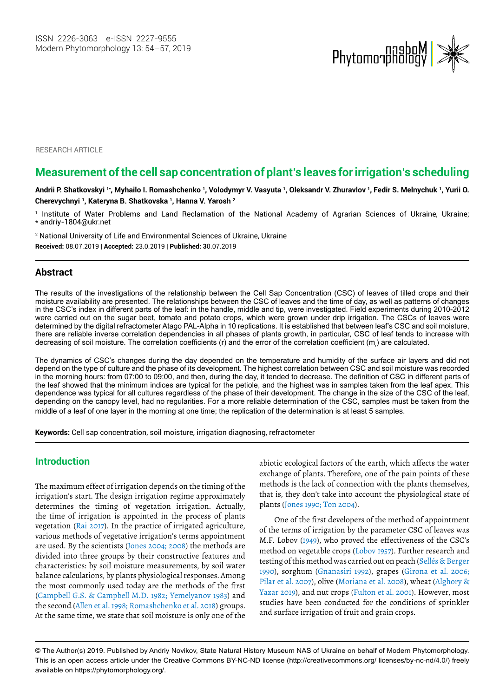

**RESEARCH ARTICLE** 

# **Measurement of the cell sap concentration of plant's leaves for irrigation's scheduling**

**Andrii P. Shatkovskyi 1\*, Myhailo I. Romashchenko 1, Volodymyr V. Vasyuta 1, Oleksandr V. Zhuravlov 1, Fedir S. Melnychuk 1, Yurii O. Cherevychnyi 1, Kateryna B. Shatkovska 1, Hanna V. Yarosh 2**

1 Institute of Water Problems and Land Reclamation of the National Academy of Agrarian Sciences of Ukraine, Ukraine; \* andriy-1804@ukr.net

2 National University of Life and Environmental Sciences of Ukraine, Ukraine **Received:** 08.07.2019 | **Accepted:** 23.0.2019 | **Published: 3**0.07.2019

### **Abstract**

The results of the investigations of the relationship between the Cell Sap Concentration (CSC) of leaves of tilled crops and their moisture availability are presented. The relationships between the CSC of leaves and the time of day, as well as patterns of changes in the CSC's index in different parts of the leaf: in the handle, middle and tip, were investigated. Field experiments during 2010-2012 were carried out on the sugar beet, tomato and potato crops, which were grown under drip irrigation. The CSCs of leaves were determined by the digital refractometer Atago PAL-Alpha in 10 replications. It is established that between leaf's CSC and soil moisture, there are reliable inverse correlation dependencies in all phases of plants growth, in particular, CSC of leaf tends to increase with decreasing of soil moisture. The correlation coefficients (r) and the error of the correlation coefficient (m<sub>r</sub>) are calculated.

The dynamics of CSC's changes during the day depended on the temperature and humidity of the surface air layers and did not depend on the type of culture and the phase of its development. The highest correlation between CSC and soil moisture was recorded in the morning hours: from 07:00 to 09:00, and then, during the day, it tended to decrease. The definition of CSC in different parts of the leaf showed that the minimum indices are typical for the petiole, and the highest was in samples taken from the leaf apex. This dependence was typical for all cultures regardless of the phase of their development. The change in the size of the CSC of the leaf, depending on the canopy level, had no regularities. For a more reliable determination of the CSC, samples must be taken from the middle of a leaf of one layer in the morning at one time; the replication of the determination is at least 5 samples.

**Keywords:** Cell sap concentration, soil moisture, irrigation diagnosing, refractometer

### **Introduction**

The maximum effect of irrigation depends on the timing of the irrigation's start. The design irrigation regime approximately determines the timing of vegetation irrigation. Actually, the time of irrigation is appointed in the process of plants vegetation (Rai 2017). In the practice of irrigated agriculture, various methods of vegetative irrigation's terms appointment are used. By the scientists (Jones 2004; 2008) the methods are divided into three groups by their constructive features and characteristics: by soil moisture measurements, by soil water balance calculations, by plants physiological responses. Among the most commonly used today are the methods of the first (Campbell G.S. & Campbell M.D. 1982; Yemelyanov 1983) and the second (Allen et al. 1998; Romashchenko et al. 2018) groups. At the same time, we state that soil moisture is only one of the

abiotic ecological factors of the earth, which affects the water exchange of plants. Therefore, one of the pain points of these methods is the lack of connection with the plants themselves, that is, they don't take into account the physiological state of plants (Jones 1990; Ton 2004).

One of the first developers of the method of appointment of the terms of irrigation by the parameter CSC of leaves was M.F. Lobov (1949), who proved the effectiveness of the CSC's method on vegetable crops (Lobov 1957). Further research and testing of this method was carried out on peach (Sellés & Berger 1990), sorghum (Gnanasiri 1992), grapes (Girona et al. 2006; Pilar et al. 2007), olive (Moriana et al. 2008), wheat (Alghory & Yazar 2019), and nut crops (Fulton et al. 2001). However, most studies have been conducted for the conditions of sprinkler and surface irrigation of fruit and grain crops.

<sup>©</sup> The Author(s) 2019. Published by Andriy Novikov, State Natural History Museum NAS of Ukraine on behalf of Modern Phytomorphology. This is an open access article under the Creative Commons BY-NC-ND license (http://creativecommons.org/ licenses/by-nc-nd/4.0/) freely available on https://phytomorphology.org/.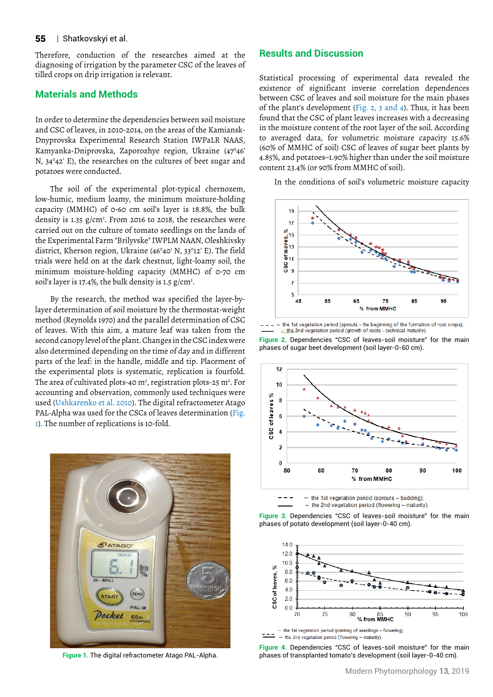#### 55 | Shatkovskyi et al.

Therefore, conduction of the researches aimed at the diagnosing of irrigation by the parameter CSC of the leaves of tilled crops on drip irrigation is relevant.

### **Materials and Methods**

In order to determine the dependencies between soil moisture and CSC of leaves, in 2010-2014, on the areas of the Kamiansk-Dnyprovska Experimental Research Station IWPaLR NAAS, Kamyanka-Dniprovska, Zaporozhye region, Ukraine (47°46' N, 34°42' E), the researches on the cultures of beet sugar and potatoes were conducted.

The soil of the experimental plot-typical chernozem, low-humic, medium loamy, the minimum moisture-holding capacity (MMHC) of 0-60 cm soil's layer is 18.8%, the bulk density is 1.35 g/cm3 . From 2016 to 2018, the researches were carried out on the culture of tomato seedlings on the lands of the Experimental Farm "Brilyvske" IWPLM NAAN, Oleshkivsky district, Kherson region, Ukraine (46°40' N, 33°12' E). The field trials were held on at the dark chestnut, light-loamy soil, the minimum moisture-holding capacity (MMHC) of 0-70 cm soil's layer is 17.4%, the bulk density is 1.5  $g/cm^3$ .

By the research, the method was specified the layer-bylayer determination of soil moisture by the thermostat-weight method (Reynolds 1970) and the parallel determination of CSC of leaves. With this aim, a mature leaf was taken from the second canopy level of the plant. Changes in the CSC index were also determined depending on the time of day and in different parts of the leaf: in the handle, middle and tip. Placement of the experimental plots is systematic, replication is fourfold. The area of cultivated plots-40 m<sup>2</sup>, registration plots-25 m<sup>2</sup>. For accounting and observation, commonly used techniques were used (Ushkarenko et al. 2010). The digital refractometer Atago PAL-Alpha was used for the CSCs of leaves determination (Fig. 1). The number of replications is 10-fold.



**Figure 1.** The digital refractometer Atago PAL-Alpha.

### **Results and Discussion**

Statistical processing of experimental data revealed the existence of significant inverse correlation dependences between CSC of leaves and soil moisture for the main phases of the plant's development (Fig. 2, 3 and 4). Thus, it has been found that the CSC of plant leaves increases with a decreasing in the moisture content of the root layer of the soil. According to averaged data, for volumetric moisture capacity 15.6% (60% of MMHC of soil) CSC of leaves of sugar beet plants by 4.85%, and potatoes–1.90% higher than under the soil moisture content 23.4% (or 90% from MMHC of soil).

In the conditions of soil's volumetric moisture capacity



- the 1st vegetation period (sprouts - the beginning of the formation of root crops);<br>  $\pi$ , the 2nd vegetation period (growth of roots - technical maturity).

**Figure 2.** Dependencies "CSC of leaves-soil moisture" for the main phases of sugar beet development (soil layer-0-60 cm).



the 1st vegetation period (sprouts - budding):

- the 2nd vegetation period (flowering - maturity).





- the 1st vegetation period (planting of seedlings - flowering);  $\frac{1}{2}$  - the 2nd vegetation period (flowering - maturity).

**Figure 4.** Dependencies "CSC of leaves-soil moisture" for the main phases of transplanted tomato's development (soil layer-0-40 cm).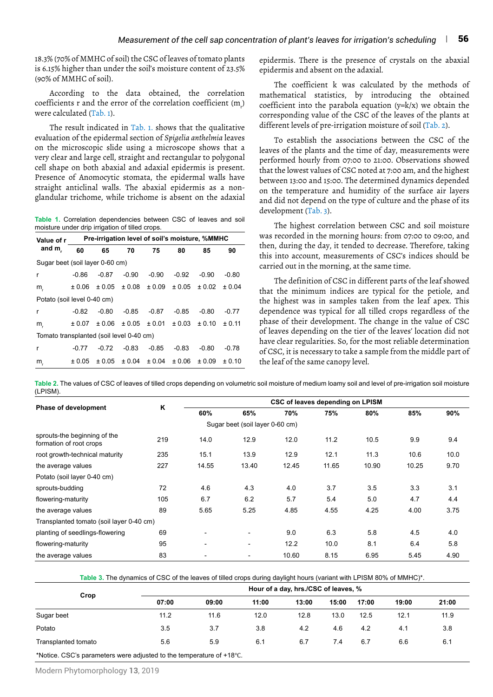18.3% (70% of MMHC of soil) the CSC of leaves of tomato plants is 6.15% higher than under the soil's moisture content of 23.5% (90% of MMHC of soil).

According to the data obtained, the correlation coefficients r and the error of the correlation coefficient  $(m_{_{\rm P}})$ were calculated (Tab. 1).

The result indicated in Tab. 1. shows that the qualitative evaluation of the epidermal section of *Spigelia anthelmia* leaves on the microscopic slide using a microscope shows that a very clear and large cell, straight and rectangular to polygonal cell shape on both abaxial and adaxial epidermis is present. Presence of Anomocytic stomata, the epidermal walls have straight anticlinal walls. The abaxial epidermis as a nonglandular trichome, while trichome is absent on the adaxial

**Table 1.** Correlation dependencies between CSC of leaves and soil moisture under drip irrigation of tilled crops.

| Value of r<br>and m.                     | Pre-irrigation level of soil's moisture, %MMHC |         |            |         |         |         |         |  |  |  |
|------------------------------------------|------------------------------------------------|---------|------------|---------|---------|---------|---------|--|--|--|
|                                          | 60                                             | 65      | 70         | 75      | 80      | 85      | 90      |  |  |  |
| Sugar beet (soil layer 0-60 cm)          |                                                |         |            |         |         |         |         |  |  |  |
| r                                        | $-0.86$                                        | $-0.87$ | $-0.90$    | $-0.90$ | $-0.92$ | $-0.90$ | -0.80   |  |  |  |
| m,                                       | ± 0.06                                         | ± 0.05  | $\pm 0.08$ | ± 0.09  | ± 0.05  | ± 0.02  | ± 0.04  |  |  |  |
| Potato (soil level 0-40 cm)              |                                                |         |            |         |         |         |         |  |  |  |
| r                                        | $-0.82$                                        | $-0.80$ | $-0.85$    | $-0.87$ | $-0.85$ | $-0.80$ | $-0.77$ |  |  |  |
| m,                                       | ± 0.07                                         | ± 0.06  | ± 0.05     | ± 0.01  | ± 0.03  | ± 0.10  | ± 0.11  |  |  |  |
| Tomato transplanted (soil level 0-40 cm) |                                                |         |            |         |         |         |         |  |  |  |
| r                                        | $-0.77$                                        | $-0.72$ | $-0.83$    | $-0.85$ | $-0.83$ | $-0.80$ | $-0.78$ |  |  |  |
| m                                        | ± 0.05                                         | ± 0.05  | ± 0.04     | ± 0.04  | ± 0.06  | ± 0.09  | ± 0.10  |  |  |  |

epidermis. There is the presence of crystals on the abaxial epidermis and absent on the adaxial.

The coefficient k was calculated by the methods of mathematical statistics, by introducing the obtained coefficient into the parabola equation  $(y=k/x)$  we obtain the corresponding value of the CSC of the leaves of the plants at different levels of pre-irrigation moisture of soil (Tab. 2).

To establish the associations between the CSC of the leaves of the plants and the time of day, measurements were performed hourly from 07:00 to 21:00. Observations showed that the lowest values of CSC noted at 7:00 am, and the highest between 13:00 and 15:00. The determined dynamics depended on the temperature and humidity of the surface air layers and did not depend on the type of culture and the phase of its development (Tab. 3).

The highest correlation between CSC and soil moisture was recorded in the morning hours: from 07:00 to 09:00, and then, during the day, it tended to decrease. Therefore, taking this into account, measurements of CSC's indices should be carried out in the morning, at the same time.

The definition of CSC in different parts of the leaf showed that the minimum indices are typical for the petiole, and the highest was in samples taken from the leaf apex. This dependence was typical for all tilled crops regardless of the phase of their development. The change in the value of CSC of leaves depending on the tier of the leaves' location did not have clear regularities. So, for the most reliable determination of CSC, it is necessary to take a sample from the middle part of the leaf of the same canopy level.

**Table 2.** The values of CSC of leaves of tilled crops depending on volumetric soil moisture of medium loamy soil and level of pre-irrigation soil moisture (LPISM).

|                                                         | Κ   | CSC of leaves depending on LPISM |                                 |       |       |       |       |      |  |
|---------------------------------------------------------|-----|----------------------------------|---------------------------------|-------|-------|-------|-------|------|--|
| Phase of development                                    |     | 60%                              | 65%                             | 70%   | 75%   | 80%   | 85%   | 90%  |  |
|                                                         |     |                                  | Sugar beet (soil layer 0-60 cm) |       |       |       |       |      |  |
| sprouts-the beginning of the<br>formation of root crops | 219 | 14.0                             | 12.9                            | 12.0  | 11.2  | 10.5  | 9.9   | 9.4  |  |
| root growth-technical maturity                          | 235 | 15.1                             | 13.9                            | 12.9  | 12.1  | 11.3  | 10.6  | 10.0 |  |
| the average values                                      | 227 | 14.55                            | 13.40                           | 12.45 | 11.65 | 10.90 | 10.25 | 9.70 |  |
| Potato (soil layer 0-40 cm)                             |     |                                  |                                 |       |       |       |       |      |  |
| sprouts-budding                                         | 72  | 4.6                              | 4.3                             | 4.0   | 3.7   | 3.5   | 3.3   | 3.1  |  |
| flowering-maturity                                      | 105 | 6.7                              | 6.2                             | 5.7   | 5.4   | 5.0   | 4.7   | 4.4  |  |
| the average values                                      | 89  | 5.65                             | 5.25                            | 4.85  | 4.55  | 4.25  | 4.00  | 3.75 |  |
| Transplanted tomato (soil layer 0-40 cm)                |     |                                  |                                 |       |       |       |       |      |  |
| planting of seedlings-flowering                         | 69  | $\overline{\phantom{a}}$         | $\overline{\phantom{a}}$        | 9.0   | 6.3   | 5.8   | 4.5   | 4.0  |  |
| flowering-maturity                                      | 95  | $\overline{\phantom{a}}$         | $\overline{\phantom{a}}$        | 12.2  | 10.0  | 8.1   | 6.4   | 5.8  |  |
| the average values                                      | 83  |                                  |                                 | 10.60 | 8.15  | 6.95  | 5.45  | 4.90 |  |

**Table 3.** The dynamics of CSC of the leaves of tilled crops during daylight hours (variant with LPISM 80% of MMHC)\*.

|                                                                       | Hour of a day, hrs./CSC of leaves, % |       |       |       |       |       |       |       |
|-----------------------------------------------------------------------|--------------------------------------|-------|-------|-------|-------|-------|-------|-------|
| Crop                                                                  | 07:00                                | 09:00 | 11:00 | 13:00 | 15:00 | 17:00 | 19:00 | 21:00 |
| Sugar beet                                                            | 11.2                                 | 11.6  | 12.0  | 12.8  | 13.0  | 12.5  | 12.1  | 11.9  |
| Potato                                                                | 3.5                                  | 3.7   | 3.8   | 4.2   | 4.6   | 4.2   | 4.1   | 3.8   |
| Transplanted tomato                                                   | 5.6                                  | 5.9   | 6.1   | 6.7   | 7.4   | 6.7   | 6.6   | 6.1   |
| *Notice. CSC's parameters were adjusted to the temperature of +18 °C. |                                      |       |       |       |       |       |       |       |

Modern Phytomorphology **13**, 2019